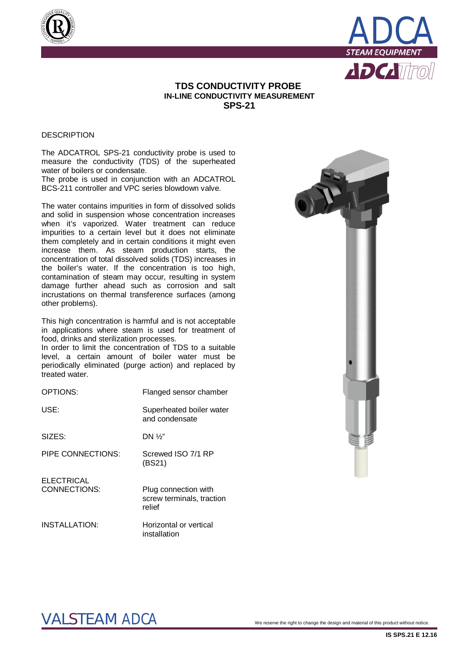



# **TDS CONDUCTIVITY PROBE IN-LINE CONDUCTIVITY MEASUREMENT SPS-21**

## **DESCRIPTION**

The ADCATROL SPS-21 conductivity probe is used to measure the conductivity (TDS) of the superheated water of boilers or condensate.

The probe is used in conjunction with an ADCATROL BCS-211 controller and VPC series blowdown valve.

The water contains impurities in form of dissolved solids and solid in suspension whose concentration increases when it's vaporized. Water treatment can reduce impurities to a certain level but it does not eliminate them completely and in certain conditions it might even increase them. As steam production starts, the concentration of total dissolved solids (TDS) increases in the boiler's water. If the concentration is too high, contamination of steam may occur, resulting in system damage further ahead such as corrosion and salt incrustations on thermal transference surfaces (among other problems).

This high concentration is harmful and is not acceptable in applications where steam is used for treatment of food, drinks and sterilization processes.

In order to limit the concentration of TDS to a suitable level, a certain amount of boiler water must be periodically eliminated (purge action) and replaced by treated water.

| Flanged sensor chamber                                      |
|-------------------------------------------------------------|
| Superheated boiler water<br>and condensate                  |
| DN $\frac{1}{2}$                                            |
| Screwed ISO 7/1 RP<br>(BS21)                                |
| Plug connection with<br>screw terminals, traction<br>relief |
|                                                             |

INSTALLATION: Horizontal or vertical installation



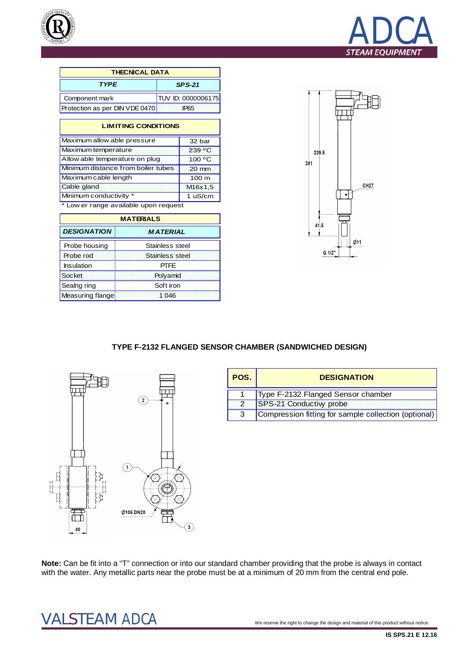



| <b>THECNICAL DATA</b>          |                           |  |  |  |
|--------------------------------|---------------------------|--|--|--|
| <b>TYPE</b>                    | $SPS-21$                  |  |  |  |
| Component mark                 | <b>TUV ID: 0000006175</b> |  |  |  |
| Protection as per DIN VDE 0470 | IP65                      |  |  |  |

| <b>LIMITING CONDITIONS</b> |  |
|----------------------------|--|
| 32 bar                     |  |
| 239 °C                     |  |
| 100 °C                     |  |
| $20 \text{ mm}$            |  |
| $100 \text{ m}$            |  |
| M <sub>16</sub> x1,5       |  |
| 1 uS/cm                    |  |
|                            |  |

\* Low er range available upon request

| <b>MATERIALS</b>        |                 |  |  |  |
|-------------------------|-----------------|--|--|--|
| <b>DESIGNATION</b>      | <b>MATERIAL</b> |  |  |  |
| Probe housing           | Stainless steel |  |  |  |
| Probe rod               | Stainless steel |  |  |  |
| Insulation              | PTFF            |  |  |  |
| Socket                  | Polyamid        |  |  |  |
| Sealng ring             | Soft iron       |  |  |  |
| <b>Measuring flange</b> | 1 046           |  |  |  |



# **TYPE F-2132 FLANGED SENSOR CHAMBER (SANDWICHED DESIGN)**



| POS. | <b>DESIGNATION</b>                                   |
|------|------------------------------------------------------|
|      | Type F-2132 Flanged Sensor chamber                   |
|      | <b>SPS-21 Conductivy probe</b>                       |
|      | Compression fitting for sample collection (optional) |

**Note:** Can be fit into a "T" connection or into our standard chamber providing that the probe is always in contact with the water. Any metallic parts near the probe must be at a minimum of 20 mm from the central end pole.

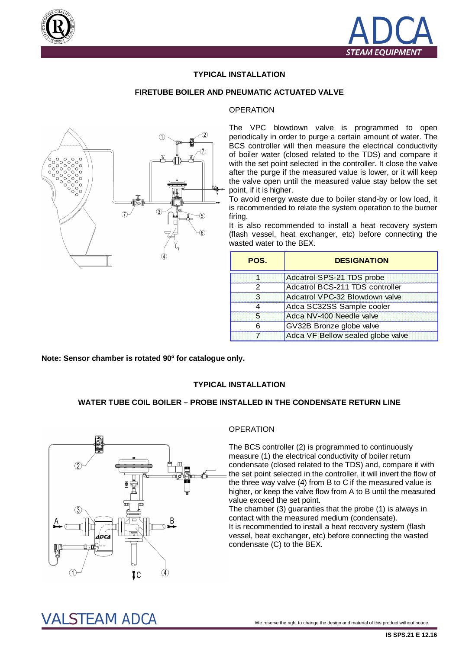



## **TYPICAL INSTALLATION**

#### **FIRETUBE BOILER AND PNEUMATIC ACTUATED VALVE**

#### **OPERATION**



The VPC blowdown valve is programmed to open periodically in order to purge a certain amount of water. The BCS controller will then measure the electrical conductivity of boiler water (closed related to the TDS) and compare it with the set point selected in the controller. It close the valve after the purge if the measured value is lower, or it will keep the valve open until the measured value stay below the set point, if it is higher.

To avoid energy waste due to boiler stand-by or low load, it is recommended to relate the system operation to the burner firing.

It is also recommended to install a heat recovery system (flash vessel, heat exchanger, etc) before connecting the wasted water to the BEX.

| POS. | <b>DESIGNATION</b>                |
|------|-----------------------------------|
|      | Adcatrol SPS-21 TDS probe         |
| 2    | Adcatrol BCS-211 TDS controller   |
| З    | Adcatrol VPC-32 Blowdown valve    |
|      | Adca SC32SS Sample cooler         |
| Б.   | Adca NV-400 Needle valve          |
|      | GV32B Bronze globe valve          |
|      | Adca VF Bellow sealed globe valve |

**Note: Sensor chamber is rotated 90º for catalogue only.**

#### **TYPICAL INSTALLATION**

## **WATER TUBE COIL BOILER – PROBE INSTALLED IN THE CONDENSATE RETURN LINE**



## **OPERATION**

The BCS controller (2) is programmed to continuously measure (1) the electrical conductivity of boiler return condensate (closed related to the TDS) and, compare it with the set point selected in the controller, it will invert the flow of the three way valve (4) from B to C if the measured value is higher, or keep the valve flow from A to B until the measured value exceed the set point.

The chamber (3) guaranties that the probe (1) is always in contact with the measured medium (condensate).

It is recommended to install a heat recovery system (flash vessel, heat exchanger, etc) before connecting the wasted condensate (C) to the BEX.